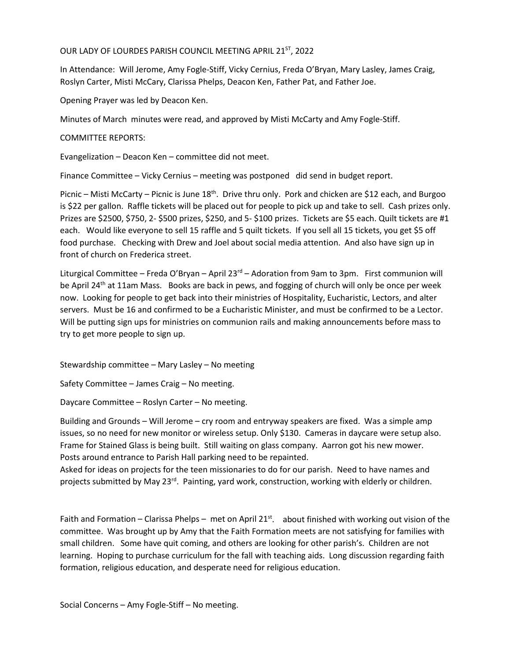## OUR LADY OF LOURDES PARISH COUNCIL MEETING APRIL 21<sup>ST</sup>, 2022

In Attendance: Will Jerome, Amy Fogle-Stiff, Vicky Cernius, Freda O'Bryan, Mary Lasley, James Craig, Roslyn Carter, Misti McCary, Clarissa Phelps, Deacon Ken, Father Pat, and Father Joe.

Opening Prayer was led by Deacon Ken.

Minutes of March minutes were read, and approved by Misti McCarty and Amy Fogle-Stiff.

## COMMITTEE REPORTS:

Evangelization – Deacon Ken – committee did not meet.

Finance Committee – Vicky Cernius – meeting was postponed did send in budget report.

Picnic – Misti McCarty – Picnic is June  $18<sup>th</sup>$ . Drive thru only. Pork and chicken are \$12 each, and Burgoo is \$22 per gallon. Raffle tickets will be placed out for people to pick up and take to sell. Cash prizes only. Prizes are \$2500, \$750, 2- \$500 prizes, \$250, and 5- \$100 prizes. Tickets are \$5 each. Quilt tickets are #1 each. Would like everyone to sell 15 raffle and 5 quilt tickets. If you sell all 15 tickets, you get \$5 off food purchase. Checking with Drew and Joel about social media attention. And also have sign up in front of church on Frederica street.

Liturgical Committee – Freda O'Bryan – April  $23<sup>rd</sup>$  – Adoration from 9am to 3pm. First communion will be April 24<sup>th</sup> at 11am Mass. Books are back in pews, and fogging of church will only be once per week now. Looking for people to get back into their ministries of Hospitality, Eucharistic, Lectors, and alter servers. Must be 16 and confirmed to be a Eucharistic Minister, and must be confirmed to be a Lector. Will be putting sign ups for ministries on communion rails and making announcements before mass to try to get more people to sign up.

Stewardship committee – Mary Lasley – No meeting

Safety Committee – James Craig – No meeting.

Daycare Committee – Roslyn Carter – No meeting.

Building and Grounds – Will Jerome – cry room and entryway speakers are fixed. Was a simple amp issues, so no need for new monitor or wireless setup. Only \$130. Cameras in daycare were setup also. Frame for Stained Glass is being built. Still waiting on glass company. Aarron got his new mower. Posts around entrance to Parish Hall parking need to be repainted.

Asked for ideas on projects for the teen missionaries to do for our parish. Need to have names and projects submitted by May 23<sup>rd</sup>. Painting, yard work, construction, working with elderly or children.

Faith and Formation – Clarissa Phelps – met on April 21st. about finished with working out vision of the committee. Was brought up by Amy that the Faith Formation meets are not satisfying for families with small children. Some have quit coming, and others are looking for other parish's. Children are not learning. Hoping to purchase curriculum for the fall with teaching aids. Long discussion regarding faith formation, religious education, and desperate need for religious education.